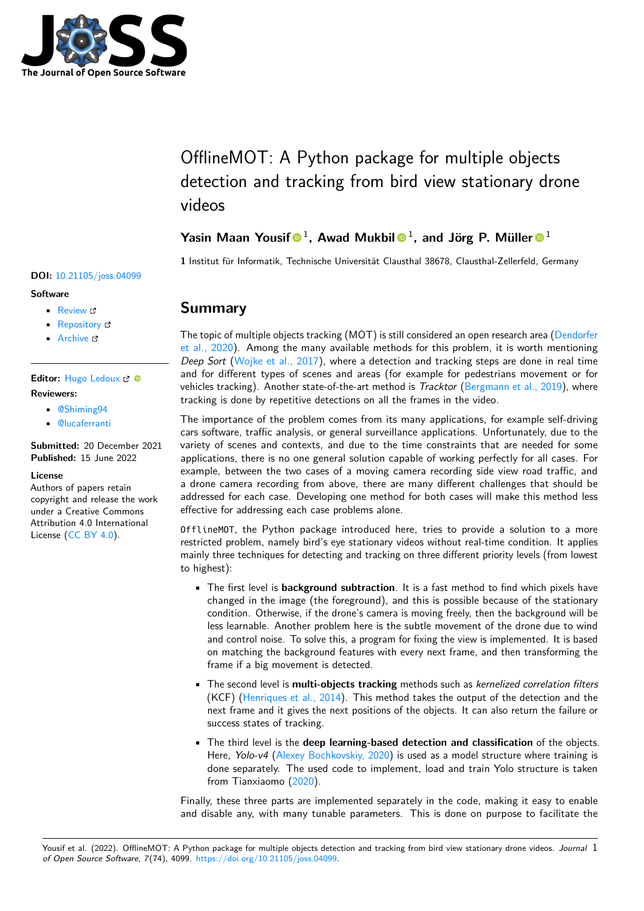

# OfflineMOT: A Python package for multiple objects detection and tracking from bird view stationary drone videos

### Yasin Maan Yousif <sup>1</sup>, Awad Mukbil <sup>0</sup><sup>1</sup>, and Jörg P. Müller <sup>0</sup><sup>1</sup>

**1** Institut für Informatik, Technische Universität Clausthal 38678, Clausthal-Zellerfeld, Germany

#### **DOI:** [10.21105/joss.04099](https://doi.org/10.21105/joss.04099)

#### **Software**

- [Review](https://github.com/openjournals/joss-reviews/issues/4099) &
- [Repository](https://github.com/engyasin/Offline_MOT) &
- [Archive](https://doi.org/10.5281/zenodo.6644282)

#### Editor: [Hugo Ledoux](https://3d.bk.tudelft.nl/hledoux) C<sup>®</sup> **Reviewers:**

- [@Shiming94](https://github.com/Shiming94)
- [@lucaferranti](https://github.com/lucaferranti)

**Submitted:** 20 December 2021 **Published:** 15 June 2022

#### **License**

Authors of papers retain copyright and release the work under a Creative Commons Attribution 4.0 International License [\(CC BY 4.0\)](https://creativecommons.org/licenses/by/4.0/).

### **Summary**

The topic of multiple objects tracking (MOT) is still considered an open research area [\(Dendorfer](#page-3-0) [et al., 2020\)](#page-3-0). Among the many available methods for this problem, it is worth mentioning Deep Sort [\(Wojke et al., 2017\)](#page-3-1), where a detection and tracking steps are done in real time and for different types of scenes and areas (for example for pedestrians movement or for vehicles tracking). Another state-of-the-art method is Tracktor [\(Bergmann et al., 2019\)](#page-3-2), where tracking is done by repetitive detections on all the frames in the video.

The importance of the problem comes from its many applications, for example self-driving cars software, traffic analysis, or general surveillance applications. Unfortunately, due to the variety of scenes and contexts, and due to the time constraints that are needed for some applications, there is no one general solution capable of working perfectly for all cases. For example, between the two cases of a moving camera recording side view road traffic, and a drone camera recording from above, there are many different challenges that should be addressed for each case. Developing one method for both cases will make this method less effective for addressing each case problems alone.

OfflineMOT, the Python package introduced here, tries to provide a solution to a more restricted problem, namely bird's eye stationary videos without real-time condition. It applies mainly three techniques for detecting and tracking on three different priority levels (from lowest to highest):

- The first level is **background subtraction**. It is a fast method to find which pixels have changed in the image (the foreground), and this is possible because of the stationary condition. Otherwise, if the drone's camera is moving freely, then the background will be less learnable. Another problem here is the subtle movement of the drone due to wind and control noise. To solve this, a program for fixing the view is implemented. It is based on matching the background features with every next frame, and then transforming the frame if a big movement is detected.
- The second level is **multi-objects tracking** methods such as kernelized correlation filters (KCF) [\(Henriques et al., 2014\)](#page-3-3). This method takes the output of the detection and the next frame and it gives the next positions of the objects. It can also return the failure or success states of tracking.
- The third level is the **deep learning-based detection and classification** of the objects. Here, *Yolo-v4* [\(Alexey Bochkovskiy, 2020\)](#page-3-4) is used as a model structure where training is done separately. The used code to implement, load and train Yolo structure is taken from Tianxiaomo [\(2020\)](#page-3-5).

Finally, these three parts are implemented separately in the code, making it easy to enable and disable any, with many tunable parameters. This is done on purpose to facilitate the

Yousif et al. (2022). OfflineMOT: A Python package for multiple objects detection and tracking from bird view stationary drone videos. Journal 1 of Open Source Software, 7(74), 4099. [https://doi.org/10.21105/joss.04099.](https://doi.org/10.21105/joss.04099)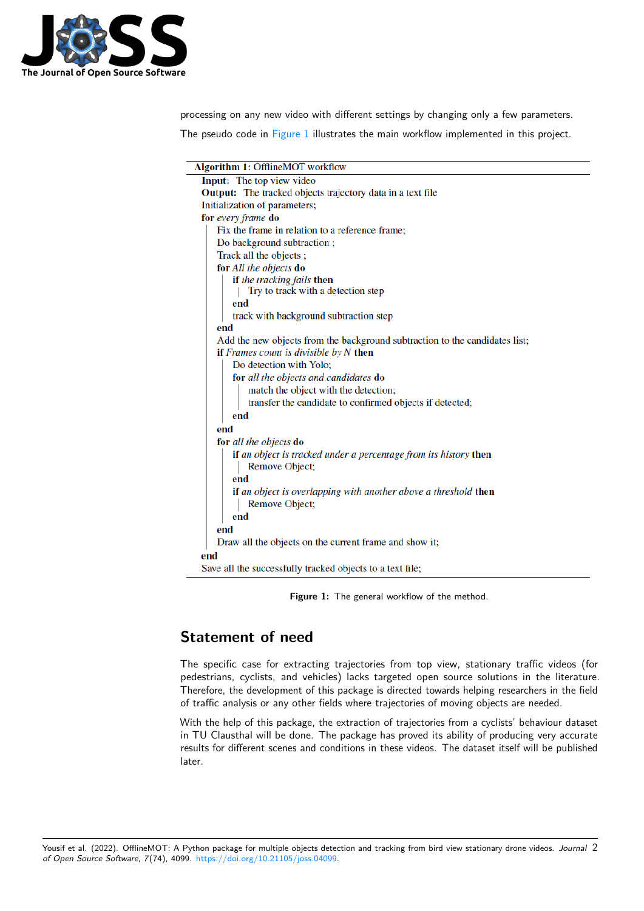

processing on any new video with different settings by changing only a few parameters.

<span id="page-1-0"></span>The pseudo code in [Figure 1](#page-1-0) illustrates the main workflow implemented in this project.

| Algorithm 1: OfflineMOT workflow                                            |  |  |
|-----------------------------------------------------------------------------|--|--|
| Input: The top view video                                                   |  |  |
| <b>Output:</b> The tracked objects trajectory data in a text file           |  |  |
| Initialization of parameters;                                               |  |  |
| for every frame do                                                          |  |  |
| Fix the frame in relation to a reference frame;                             |  |  |
| Do background subtraction;                                                  |  |  |
| Track all the objects;                                                      |  |  |
| for All the objects do                                                      |  |  |
| if the tracking fails then                                                  |  |  |
| Try to track with a detection step                                          |  |  |
| end                                                                         |  |  |
| track with background subtraction step                                      |  |  |
| end                                                                         |  |  |
| Add the new objects from the background subtraction to the candidates list; |  |  |
| if Frames count is divisible by $N$ then                                    |  |  |
| Do detection with Yolo;                                                     |  |  |
| for all the objects and candidates do                                       |  |  |
| match the object with the detection;                                        |  |  |
| transfer the candidate to confirmed objects if detected;                    |  |  |
| end                                                                         |  |  |
| end                                                                         |  |  |
| for all the objects do                                                      |  |  |
| if an object is tracked under a percentage from its history then            |  |  |
| Remove Object;                                                              |  |  |
| end                                                                         |  |  |
| if an object is overlapping with another above a threshold then             |  |  |
| Remove Object;                                                              |  |  |
| end                                                                         |  |  |
| end                                                                         |  |  |
| Draw all the objects on the current frame and show it;                      |  |  |
| end                                                                         |  |  |
| Save all the successfully tracked objects to a text file;                   |  |  |

Figure 1: The general workflow of the method.

## **Statement of need**

The specific case for extracting trajectories from top view, stationary traffic videos (for pedestrians, cyclists, and vehicles) lacks targeted open source solutions in the literature. Therefore, the development of this package is directed towards helping researchers in the field of traffic analysis or any other fields where trajectories of moving objects are needed.

With the help of this package, the extraction of trajectories from a cyclists' behaviour dataset in TU Clausthal will be done. The package has proved its ability of producing very accurate results for different scenes and conditions in these videos. The dataset itself will be published later.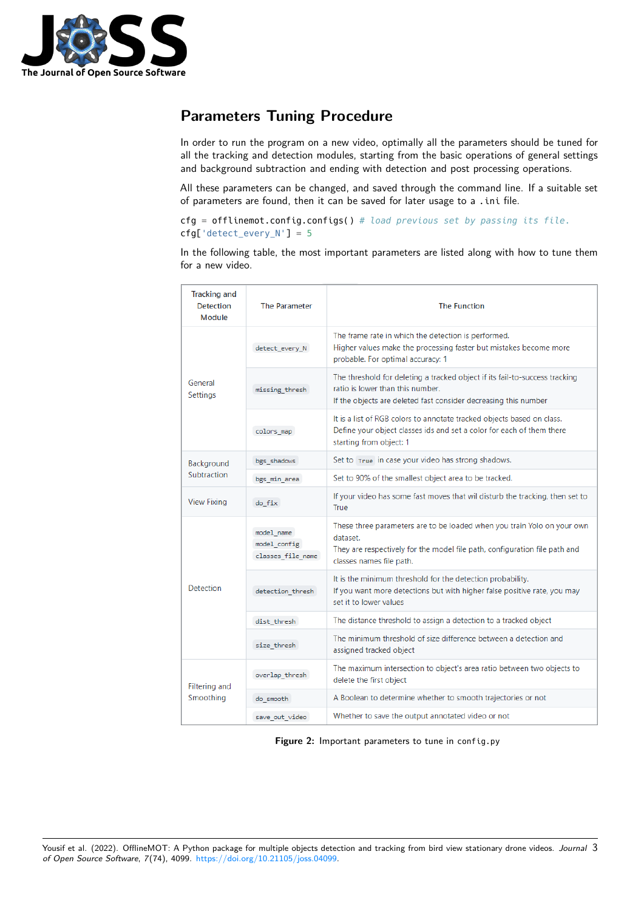

# **Parameters Tuning Procedure**

In order to run the program on a new video, optimally all the parameters should be tuned for all the tracking and detection modules, starting from the basic operations of general settings and background subtraction and ending with detection and post processing operations.

All these parameters can be changed, and saved through the command line. If a suitable set of parameters are found, then it can be saved for later usage to a .ini file.

cfg = offlinemot.config.configs() *# load previous set by passing its file.*  $\text{cfg['detect\_every_N'] = 5}$ 

In the following table, the most important parameters are listed along with how to tune them for a new video.

| <b>Tracking and</b><br><b>Detection</b><br>Module | <b>The Parameter</b>                            | <b>The Function</b>                                                                                                                                                                           |
|---------------------------------------------------|-------------------------------------------------|-----------------------------------------------------------------------------------------------------------------------------------------------------------------------------------------------|
| General<br>Settings                               | detect_every_N                                  | The frame rate in which the detection is performed.<br>Higher values make the processing faster but mistakes become more<br>probable. For optimal accuracy: 1                                 |
|                                                   | missing thresh                                  | The threshold for deleting a tracked object if its fail-to-success tracking<br>ratio is lower than this number.<br>If the objects are deleted fast consider decreasing this number            |
|                                                   | colors map                                      | It is a list of RGB colors to annotate tracked objects based on class.<br>Define your object classes ids and set a color for each of them there<br>starting from object: 1                    |
| Background<br>Subtraction                         | bgs shadows                                     | Set to True in case your video has strong shadows.                                                                                                                                            |
|                                                   | bgs_min_area                                    | Set to 90% of the smallest object area to be tracked.                                                                                                                                         |
| <b>View Fixing</b>                                | do fix                                          | If your video has some fast moves that wil disturb the tracking, then set to<br>True                                                                                                          |
| Detection                                         | model name<br>model config<br>classes file name | These three parameters are to be loaded when you train Yolo on your own<br>dataset.<br>They are respectively for the model file path, configuration file path and<br>classes names file path. |
|                                                   | detection thresh                                | It is the minimum threshold for the detection probability.<br>If you want more detections but with higher false positive rate, you may<br>set it to lower values.                             |
|                                                   | dist thresh                                     | The distance threshold to assign a detection to a tracked object                                                                                                                              |
|                                                   | size thresh                                     | The minimum threshold of size difference between a detection and<br>assigned tracked object                                                                                                   |
| Filtering and<br>Smoothing                        | overlap thresh                                  | The maximum intersection to object's area ratio between two objects to<br>delete the first object                                                                                             |
|                                                   | do smooth                                       | A Boolean to determine whether to smooth trajectories or not                                                                                                                                  |
|                                                   | save out video                                  | Whether to save the output annotated video or not                                                                                                                                             |

**Figure 2:** Important parameters to tune in config.py